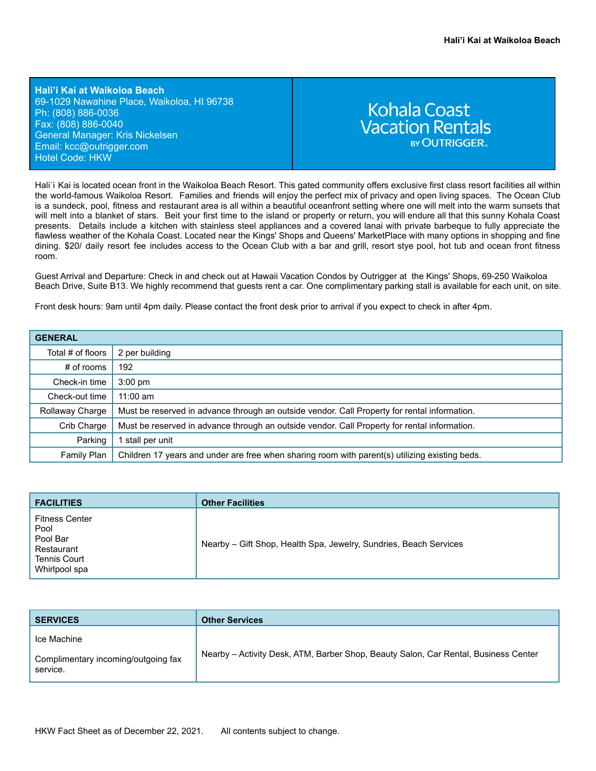**Hali'i Kai at Waikoloa Beach** 69-1029 Nawahine Place, Waikoloa, HI 96738 Ph: (808) 886-0036 Fax: (808) 886-0040 General Manager: Kris Nickelsen Email: kcc[@outrigger.com](mailto:orf@outrigger.com) Hotel Code: HKW

# **Kohala Coast Vacation Rentals BY OUTRIGGER**

Hali`i Kai is located ocean front in the Waikoloa Beach Resort. This gated community offers exclusive first class resort facilities all within the world-famous Waikoloa Resort. Families and friends will enjoy the perfect mix of privacy and open living spaces. The Ocean Club is a sundeck, pool, fitness and restaurant area is all within a beautiful oceanfront setting where one will melt into the warm sunsets that will melt into a blanket of stars. Beit your first time to the island or property or return, you will endure all that this sunny Kohala Coast presents. Details include a kitchen with stainless steel appliances and a covered lanai with private barbeque to fully appreciate the flawless weather of the Kohala Coast. Located near the Kings' Shops and Queens' MarketPlace with many options in shopping and fine dining. \$20/ daily resort fee includes access to the Ocean Club with a bar and grill, resort stye pool, hot tub and ocean front fitness room.

Guest Arrival and Departure: Check in and check out at Hawaii Vacation Condos by Outrigger at the Kings' Shops, 69-250 Waikoloa Beach Drive, Suite B13. We highly recommend that guests rent a car. One complimentary parking stall is available for each unit, on site.

Front desk hours: 9am until 4pm daily. Please contact the front desk prior to arrival if you expect to check in after 4pm.

| <b>GENERAL</b>    |                                                                                                |  |
|-------------------|------------------------------------------------------------------------------------------------|--|
| Total # of floors | 2 per building                                                                                 |  |
| # of rooms        | 192                                                                                            |  |
| Check-in time     | $3:00$ pm                                                                                      |  |
| Check-out time    | $11:00$ am                                                                                     |  |
| Rollaway Charge   | Must be reserved in advance through an outside vendor. Call Property for rental information.   |  |
| Crib Charge       | Must be reserved in advance through an outside vendor. Call Property for rental information.   |  |
| Parking           | stall per unit                                                                                 |  |
| Family Plan       | Children 17 years and under are free when sharing room with parent(s) utilizing existing beds. |  |

| <b>FACILITIES</b>                                                                               | <b>Other Facilities</b>                                           |
|-------------------------------------------------------------------------------------------------|-------------------------------------------------------------------|
| <b>Fitness Center</b><br>Pool<br>Pool Bar<br>Restaurant<br><b>Tennis Court</b><br>Whirlpool spa | Nearby – Gift Shop, Health Spa, Jewelry, Sundries, Beach Services |

| <b>SERVICES</b>                                                | <b>Other Services</b>                                                               |
|----------------------------------------------------------------|-------------------------------------------------------------------------------------|
| Ice Machine<br>Complimentary incoming/outgoing fax<br>service. | Nearby - Activity Desk, ATM, Barber Shop, Beauty Salon, Car Rental, Business Center |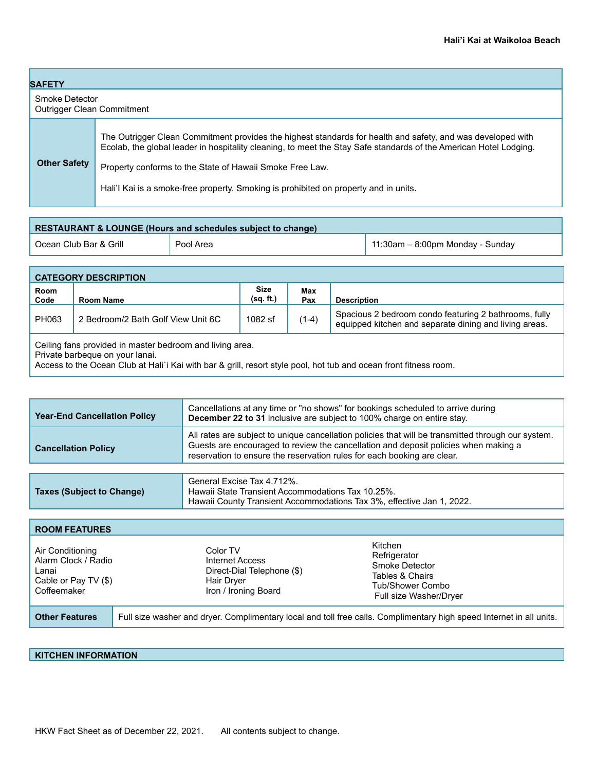| <b>SAFETY</b>                                       |                                                                                                                                                                                                                                                                                                                                                                                      |  |  |
|-----------------------------------------------------|--------------------------------------------------------------------------------------------------------------------------------------------------------------------------------------------------------------------------------------------------------------------------------------------------------------------------------------------------------------------------------------|--|--|
| Smoke Detector<br><b>Outrigger Clean Commitment</b> |                                                                                                                                                                                                                                                                                                                                                                                      |  |  |
| <b>Other Safety</b>                                 | The Outrigger Clean Commitment provides the highest standards for health and safety, and was developed with<br>Ecolab, the global leader in hospitality cleaning, to meet the Stay Safe standards of the American Hotel Lodging.<br>Property conforms to the State of Hawaii Smoke Free Law.<br>Hali'l Kai is a smoke-free property. Smoking is prohibited on property and in units. |  |  |

| RESTAURANT & LOUNGE (Hours and schedules subject to change) |           |                                     |  |
|-------------------------------------------------------------|-----------|-------------------------------------|--|
| Ocean Club Bar & Grill                                      | Pool Area | $11:30$ am – 8:00pm Monday - Sunday |  |

| <b>CATEGORY DESCRIPTION</b>                                                                                                                                                                                                                                            |                                                                                                                                                                             |                          |            |                    |
|------------------------------------------------------------------------------------------------------------------------------------------------------------------------------------------------------------------------------------------------------------------------|-----------------------------------------------------------------------------------------------------------------------------------------------------------------------------|--------------------------|------------|--------------------|
| Room<br>Code                                                                                                                                                                                                                                                           | Room Name                                                                                                                                                                   | <b>Size</b><br>(sq. ft.) | Max<br>Pax | <b>Description</b> |
| PH063                                                                                                                                                                                                                                                                  | Spacious 2 bedroom condo featuring 2 bathrooms, fully<br>$(1-4)$<br>2 Bedroom/2 Bath Golf View Unit 6C<br>1082 sf<br>equipped kitchen and separate dining and living areas. |                          |            |                    |
| Ceiling fans provided in master bedroom and living area.<br>Private barbeque on your lanai.<br>A second the $\bigcap_{i=1}^n$ is $\bigcap_{i=1}^n$ in the $\bigcap_{i=1}^n$ in the second of $\bigcap_{i=1}^n$ is the second of $\bigcap_{i=1}^n$ in $\bigcap_{i=1}^n$ |                                                                                                                                                                             |                          |            |                    |

Access to the Ocean Club at Hali`i Kai with bar & grill, resort style pool, hot tub and ocean front fitness room.

| <b>Year-End Cancellation Policy</b> | Cancellations at any time or "no shows" for bookings scheduled to arrive during<br>December 22 to 31 inclusive are subject to 100% charge on entire stay.                                                                                                            |
|-------------------------------------|----------------------------------------------------------------------------------------------------------------------------------------------------------------------------------------------------------------------------------------------------------------------|
| <b>Cancellation Policy</b>          | All rates are subject to unique cancellation policies that will be transmitted through our system.<br>Guests are encouraged to review the cancellation and deposit policies when making a<br>reservation to ensure the reservation rules for each booking are clear. |
|                                     |                                                                                                                                                                                                                                                                      |
|                                     | General Excise Tax 4.712%.                                                                                                                                                                                                                                           |

Hawaii State Transient Accommodations Tax 10.25%.

|                                                                                         |                                                                                                 | Hawaii County Transient Accommodations Tax 3%, effective Jan 1, 2022.                                                |  |  |
|-----------------------------------------------------------------------------------------|-------------------------------------------------------------------------------------------------|----------------------------------------------------------------------------------------------------------------------|--|--|
|                                                                                         |                                                                                                 |                                                                                                                      |  |  |
| <b>ROOM FEATURES</b>                                                                    |                                                                                                 |                                                                                                                      |  |  |
| Air Conditioning<br>Alarm Clock / Radio<br>Lanai<br>Cable or Pay TV (\$)<br>Coffeemaker | Color TV<br>Internet Access<br>Direct-Dial Telephone (\$)<br>Hair Dryer<br>Iron / Ironing Board | Kitchen<br>Refrigerator<br>Smoke Detector<br>Tables & Chairs<br>Tub/Shower Combo<br>Full size Washer/Dryer           |  |  |
| <b>Other Features</b>                                                                   |                                                                                                 | Full size washer and dryer. Complimentary local and toll free calls. Complimentary high speed Internet in all units. |  |  |

## **KITCHEN INFORMATION**

**Taxes (Subject to Change)**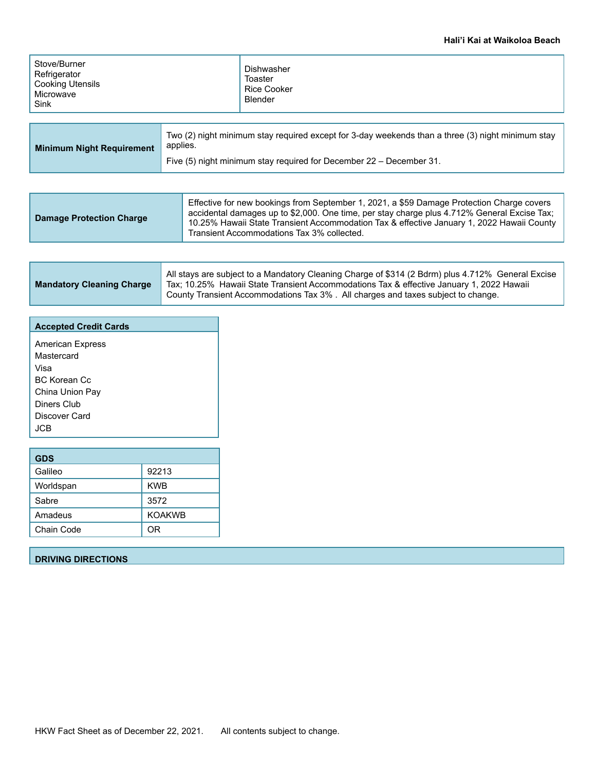### **Hali'i Kai at Waikoloa Beach**

| Stove/Burner<br>Refrigerator<br><b>Cooking Utensils</b><br>Microwave<br>Sink |          | Dishwasher<br>Toaster<br>Rice Cooker<br>Blender                                                   |
|------------------------------------------------------------------------------|----------|---------------------------------------------------------------------------------------------------|
| <b>Minimum Night Requirement</b>                                             | applies. | Two (2) night minimum stay required except for 3-day weekends than a three (3) night minimum stay |

|  |  | Five (5) night minimum stay required for December $22 -$ December 31. |
|--|--|-----------------------------------------------------------------------|
|--|--|-----------------------------------------------------------------------|

| <b>Damage Protection Charge</b> | Effective for new bookings from September 1, 2021, a \$59 Damage Protection Charge covers<br>accidental damages up to \$2,000. One time, per stay charge plus 4.712% General Excise Tax;<br>10.25% Hawaii State Transient Accommodation Tax & effective January 1, 2022 Hawaii County<br>Transient Accommodations Tax 3% collected. |
|---------------------------------|-------------------------------------------------------------------------------------------------------------------------------------------------------------------------------------------------------------------------------------------------------------------------------------------------------------------------------------|
|---------------------------------|-------------------------------------------------------------------------------------------------------------------------------------------------------------------------------------------------------------------------------------------------------------------------------------------------------------------------------------|

| <b>Mandatory Cleaning Charge</b> | All stays are subject to a Mandatory Cleaning Charge of \$314 (2 Bdrm) plus 4.712% General Excise<br>Tax; 10.25% Hawaii State Transient Accommodations Tax & effective January 1, 2022 Hawaii<br>County Transient Accommodations Tax 3%. All charges and taxes subject to change. |
|----------------------------------|-----------------------------------------------------------------------------------------------------------------------------------------------------------------------------------------------------------------------------------------------------------------------------------|
|----------------------------------|-----------------------------------------------------------------------------------------------------------------------------------------------------------------------------------------------------------------------------------------------------------------------------------|

| <b>Accepted Credit Cards</b> |
|------------------------------|
| <b>American Express</b>      |
| Mastercard<br>Visa           |
| <b>BC Korean Cc</b>          |
| China Union Pay              |
| Diners Club<br>Discover Card |
| JCB.                         |
|                              |

| <b>GDS</b> |               |
|------------|---------------|
| Galileo    | 92213         |
| Worldspan  | <b>KWB</b>    |
| Sabre      | 3572          |
| Amadeus    | <b>KOAKWB</b> |
| Chain Code | ΟR            |

# **DRIVING DIRECTIONS**